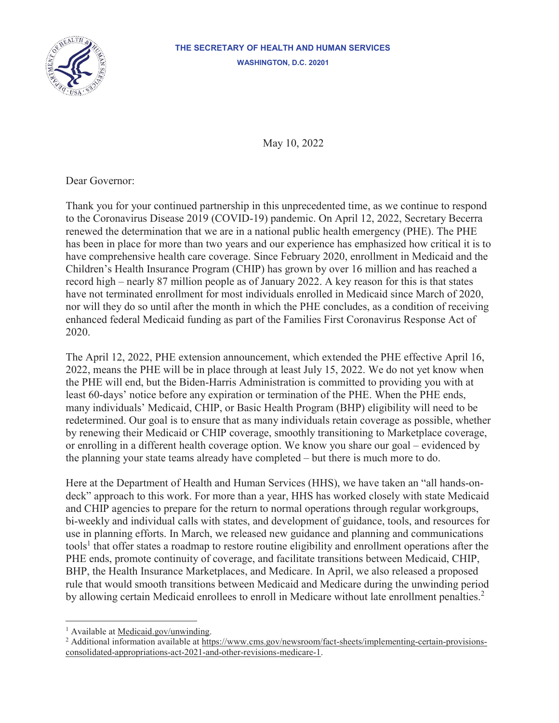

#### **THE SECRETARY OF HEALTH AND HUMAN SERVICES WASHINGTON, D.C. 20201**

May 10, 2022

Dear Governor:

Thank you for your continued partnership in this unprecedented time, as we continue to respond to the Coronavirus Disease 2019 (COVID-19) pandemic. On April 12, 2022, Secretary Becerra renewed the determination that we are in a national public health emergency (PHE). The PHE has been in place for more than two years and our experience has emphasized how critical it is to have comprehensive health care coverage. Since February 2020, enrollment in Medicaid and the Children's Health Insurance Program (CHIP) has grown by over 16 million and has reached a record high – nearly 87 million people as of January 2022. A key reason for this is that states have not terminated enrollment for most individuals enrolled in Medicaid since March of 2020, nor will they do so until after the month in which the PHE concludes, as a condition of receiving enhanced federal Medicaid funding as part of the Families First Coronavirus Response Act of 2020.

The April 12, 2022, PHE extension announcement, which extended the PHE effective April 16, 2022, means the PHE will be in place through at least July 15, 2022. We do not yet know when the PHE will end, but the Biden-Harris Administration is committed to providing you with at least 60-days' notice before any expiration or termination of the PHE. When the PHE ends, many individuals' Medicaid, CHIP, or Basic Health Program (BHP) eligibility will need to be redetermined. Our goal is to ensure that as many individuals retain coverage as possible, whether by renewing their Medicaid or CHIP coverage, smoothly transitioning to Marketplace coverage, or enrolling in a different health coverage option. We know you share our goal – evidenced by the planning your state teams already have completed – but there is much more to do.

Here at the Department of Health and Human Services (HHS), we have taken an "all hands-ondeck" approach to this work. For more than a year, HHS has worked closely with state Medicaid and CHIP agencies to prepare for the return to normal operations through regular workgroups, bi-weekly and individual calls with states, and development of guidance, tools, and resources for use in planning efforts. In March, we released new guidance and planning and communications tools<sup>1</sup> that offer states a roadmap to restore routine eligibility and enrollment operations after the PHE ends, promote continuity of coverage, and facilitate transitions between Medicaid, CHIP, BHP, the Health Insurance Marketplaces, and Medicare. In April, we also released a proposed rule that would smooth transitions between Medicaid and Medicare during the unwinding period by allowing certain Medicaid enrollees to enroll in Medicare without late enrollment penalties.<sup>2</sup>

<sup>&</sup>lt;sup>1</sup> Available at Medicaid.gov/unwinding.

<sup>&</sup>lt;sup>2</sup> Additional information available at https://www.cms.gov/newsroom/fact-sheets/implementing-certain-provisionsconsolidated-appropriations-act-2021-and-other-revisions-medicare-1.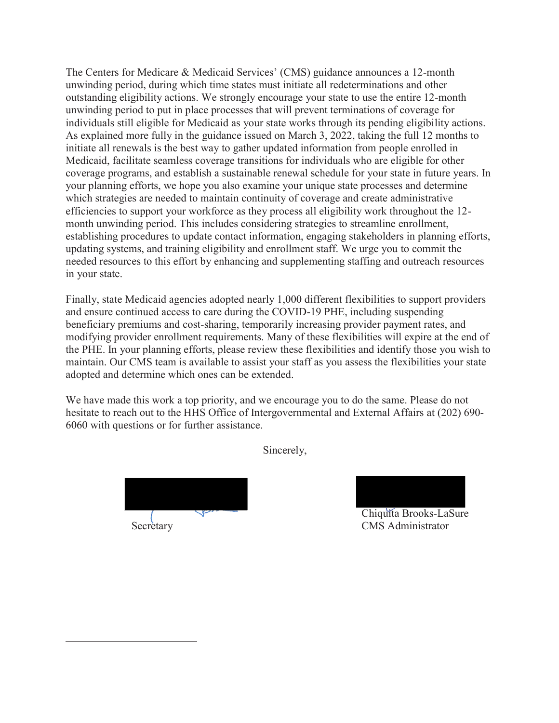The Centers for Medicare & Medicaid Services' (CMS) guidance announces a 12-month unwinding period, during which time states must initiate all redeterminations and other outstanding eligibility actions. We strongly encourage your state to use the entire 12-month unwinding period to put in place processes that will prevent terminations of coverage for individuals still eligible for Medicaid as your state works through its pending eligibility actions. As explained more fully in the guidance issued on March 3, 2022, taking the full 12 months to initiate all renewals is the best way to gather updated information from people enrolled in Medicaid, facilitate seamless coverage transitions for individuals who are eligible for other coverage programs, and establish a sustainable renewal schedule for your state in future years. In your planning efforts, we hope you also examine your unique state processes and determine which strategies are needed to maintain continuity of coverage and create administrative efficiencies to support your workforce as they process all eligibility work throughout the 12 month unwinding period. This includes considering strategies to streamline enrollment, establishing procedures to update contact information, engaging stakeholders in planning efforts, updating systems, and training eligibility and enrollment staff. We urge you to commit the needed resources to this effort by enhancing and supplementing staffing and outreach resources in your state.

Finally, state Medicaid agencies adopted nearly 1,000 different flexibilities to support providers and ensure continued access to care during the COVID-19 PHE, including suspending beneficiary premiums and cost-sharing, temporarily increasing provider payment rates, and modifying provider enrollment requirements. Many of these flexibilities will expire at the end of the PHE. In your planning efforts, please review these flexibilities and identify those you wish to maintain. Our CMS team is available to assist your staff as you assess the flexibilities your state adopted and determine which ones can be extended.

We have made this work a top priority, and we encourage you to do the same. Please do not hesitate to reach out to the HHS Office of Intergovernmental and External Affairs at (202) 690- 6060 with questions or for further assistance.

Sincerely,

Secretary CMS Administrator

Chiquita Brooks-LaSure Chiquita Brooks LaS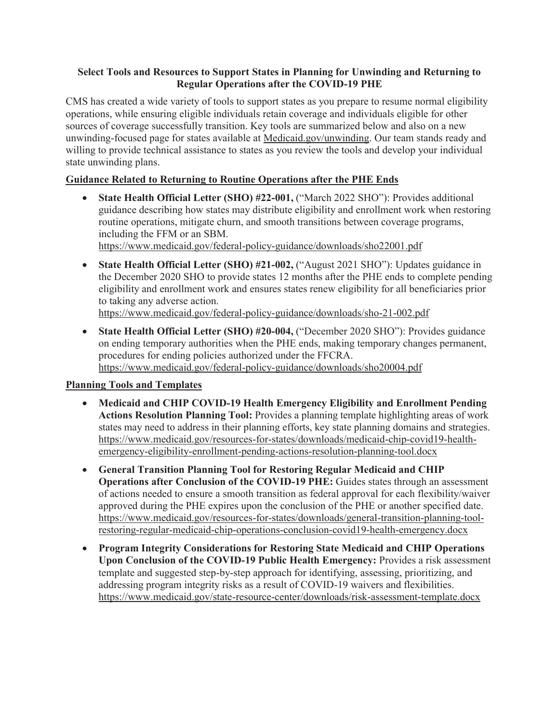#### **Select Tools and Resources to Support States in Planning for Unwinding and Returning to Regular Operations after the COVID-19 PHE**

CMS has created a wide variety of tools to support states as you prepare to resume normal eligibility operations, while ensuring eligible individuals retain coverage and individuals eligible for other sources of coverage successfully transition. Key tools are summarized below and also on a new unwinding-focused page for states available at Medicaid.gov/unwinding. Our team stands ready and willing to provide technical assistance to states as you review the tools and develop your individual state unwinding plans.

# **Guidance Related to Returning to Routine Operations after the PHE Ends**

• State Health Official Letter (SHO) #22-001, ("March 2022 SHO"): Provides additional guidance describing how states may distribute eligibility and enrollment work when restoring routine operations, mitigate churn, and smooth transitions between coverage programs, including the FFM or an SBM.

https://www.medicaid.gov/federal-policy-guidance/downloads/sho22001.pdf

• State Health Official Letter (SHO) #21-002, ("August 2021 SHO"): Updates guidance in the December 2020 SHO to provide states 12 months after the PHE ends to complete pending eligibility and enrollment work and ensures states renew eligibility for all beneficiaries prior to taking any adverse action.

https://www.medicaid.gov/federal-policy-guidance/downloads/sho-21-002.pdf

x **State Health Official Letter (SHO) #20-004,** ("December 2020 SHO"): Provides guidance on ending temporary authorities when the PHE ends, making temporary changes permanent, procedures for ending policies authorized under the FFCRA. https://www.medicaid.gov/federal-policy-guidance/downloads/sho20004.pdf

# **Planning Tools and Templates**

- x **Medicaid and CHIP COVID-19 Health Emergency Eligibility and Enrollment Pending Actions Resolution Planning Tool:** Provides a planning template highlighting areas of work states may need to address in their planning efforts, key state planning domains and strategies. https://www.medicaid.gov/resources-for-states/downloads/medicaid-chip-covid19-healthemergency-eligibility-enrollment-pending-actions-resolution-planning-tool.docx
- x **General Transition Planning Tool for Restoring Regular Medicaid and CHIP Operations after Conclusion of the COVID-19 PHE:** Guides states through an assessment of actions needed to ensure a smooth transition as federal approval for each flexibility/waiver approved during the PHE expires upon the conclusion of the PHE or another specified date. https://www.medicaid.gov/resources-for-states/downloads/general-transition-planning-toolrestoring-regular-medicaid-chip-operations-conclusion-covid19-health-emergency.docx
- x **Program Integrity Considerations for Restoring State Medicaid and CHIP Operations Upon Conclusion of the COVID-19 Public Health Emergency:** Provides a risk assessment template and suggested step-by-step approach for identifying, assessing, prioritizing, and addressing program integrity risks as a result of COVID-19 waivers and flexibilities. https://www.medicaid.gov/state-resource-center/downloads/risk-assessment-template.docx